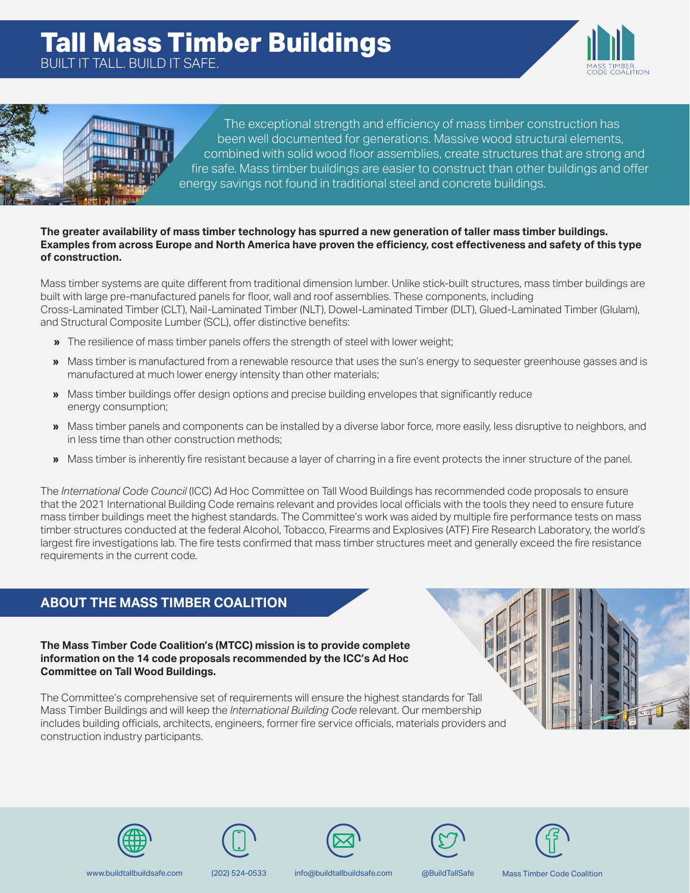



The exceptional strength and efficiency of mass timber construction has been well documented for generations. Massive wood structural elements, combined with solid wood floor assemblies, create structures that are strong and fire safe. Mass timber buildings are easier to construct than other buildings and offer energy savings not found in traditional steel and concrete buildings.

## **The greater availability of mass timber technology has spurred a new generation of taller mass timber buildings. Examples from across Europe and North America have proven the efficiency, cost effectiveness and safety of this type of construction.**

Mass timber systems are quite different from traditional dimension lumber. Unlike stick-built structures, mass timber buildings are built with large pre-manufactured panels for floor, wall and roof assemblies. These components, including Cross-Laminated Timber (CLT), Nail-Laminated Timber (NLT), Dowel-Laminated Timber (DLT), Glued-Laminated Timber (Glulam), and Structural Composite Lumber (SCL), offer distinctive benefits:

- **»** The resilience of mass timber panels offers the strength of steel with lower weight;
- **»** Mass timber is manufactured from a renewable resource that uses the sun's energy to sequester greenhouse gasses and is manufactured at much lower energy intensity than other materials;
- **»** Mass timber buildings offer design options and precise building envelopes that significantly reduce energy consumption;
- **»** Mass timber panels and components can be installed by a diverse labor force, more easily, less disruptive to neighbors, and in less time than other construction methods;
- **»** Mass timber is inherently fire resistant because a layer of charring in a fire event protects the inner structure of the panel.

The *International Code Council* (ICC) Ad Hoc Committee on Tall Wood Buildings has recommended code proposals to ensure that the 2021 International Building Code remains relevant and provides local officials with the tools they need to ensure future mass timber buildings meet the highest standards. The Committee's work was aided by multiple fire performance tests on mass timber structures conducted at the federal Alcohol, Tobacco, Firearms and Explosives (ATF) Fire Research Laboratory, the world's largest fire investigations lab. The fire tests confirmed that mass timber structures meet and generally exceed the fire resistance requirements in the current code.

# **ABOUT THE MASS TIMBER COALITION**

**The Mass Timber Code Coalition's (MTCC) mission is to provide complete information on the 14 code proposals recommended by the ICC's Ad Hoc Committee on Tall Wood Buildings.**

The Committee's comprehensive set of requirements will ensure the highest standards for Tall Mass Timber Buildings and will keep the *International Building Code* relevant. Our membership includes building officials, architects, engineers, former fire service officials, materials providers and construction industry participants.











www.buildtallbuildsafe.com (202) 524-0533 info@buildtallbuildsafe.com @BuildTallSafe Mass Timber Code Coalition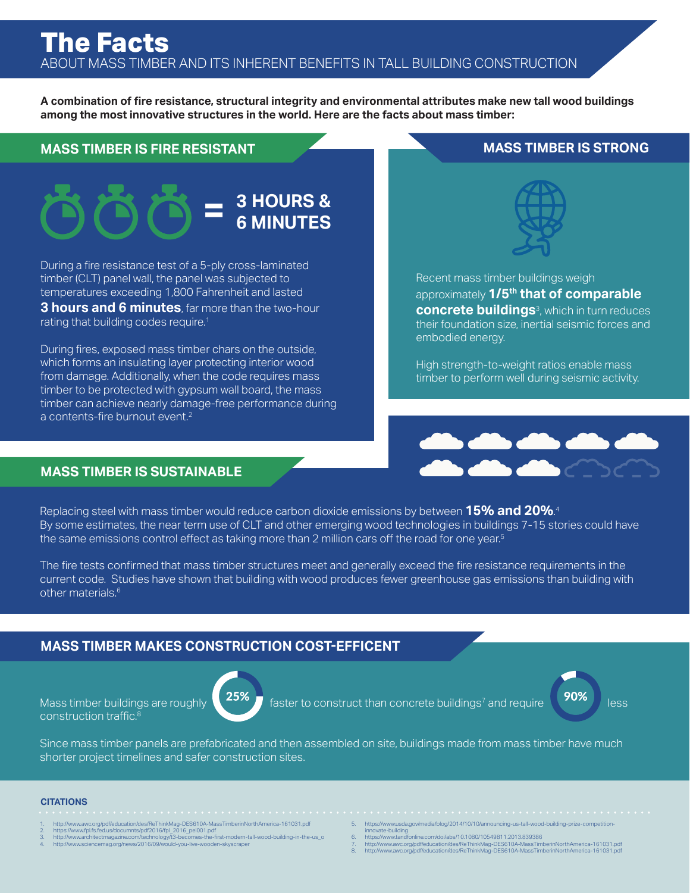**A combination of fire resistance, structural integrity and environmental attributes make new tall wood buildings among the most innovative structures in the world. Here are the facts about mass timber:**

## **MASS TIMBER IS FIRE RESISTANT MASS TIMBER IS STRONG**

# **3 HOURS & = 6 MINUTES**

During a fire resistance test of a 5-ply cross-laminated timber (CLT) panel wall, the panel was subjected to temperatures exceeding 1,800 Fahrenheit and lasted **3 hours and 6 minutes**, far more than the two-hour

rating that building codes require.<sup>1</sup>

During fires, exposed mass timber chars on the outside, which forms an insulating layer protecting interior wood from damage. Additionally, when the code requires mass timber to be protected with gypsum wall board, the mass timber can achieve nearly damage-free performance during a contents-fire burnout event.<sup>2</sup>



High strength-to-weight ratios enable mass timber to perform well during seismic activity.

embodied energy.



## **MASS TIMBER IS SUSTAINABLE**

Replacing steel with mass timber would reduce carbon dioxide emissions by between **15% and 20%**. 4 By some estimates, the near term use of CLT and other emerging wood technologies in buildings 7-15 stories could have the same emissions control effect as taking more than 2 million cars off the road for one year.<sup>5</sup>

The fire tests confirmed that mass timber structures meet and generally exceed the fire resistance requirements in the current code. Studies have shown that building with wood produces fewer greenhouse gas emissions than building with other materials.<sup>6</sup>

## **MASS TIMBER MAKES CONSTRUCTION COST-EFFICENT**

construction traffic.8



Mass timber buildings are roughly  $\left(25\%$  faster to construct than concrete buildings<sup>7</sup> and require  $\left(80\% \right)$  less



Since mass timber panels are prefabricated and then assembled on site, buildings made from mass timber have much shorter project timelines and safer construction sites.

### **CITATIONS**

- 
- 1. http://www.awc.org/pdf/education/des/He1hinkMag-DES610A-Mass1imberinNorthAmerica-161031.pdf<br>2. https://www.fpl.fs.fedus/documnts/pdf2016/fpl\_2016\_pei001.pdf<br>3. http://www.architectmagazine.com/technology/t3-becomes-the-
- 
- 
- 5. https://www.usda.gov/media/blog/2014/10/10/announcing-us-tall-wood-building-prize-competition-<br>innovate-building<br>6. https://www.tandfonline.com/doi/abs/10.1080/10549811.2013.839386
- 
- 
- 7. http://www.awc.org/pdf/education/des/ReThinkMag-DES610A-MassTimberinNorthAmerica-161031.pdf 8. http://www.awc.org/pdf/education/des/ReThinkMag-DES610A-MassTimberinNorthAmerica-161031.pdf